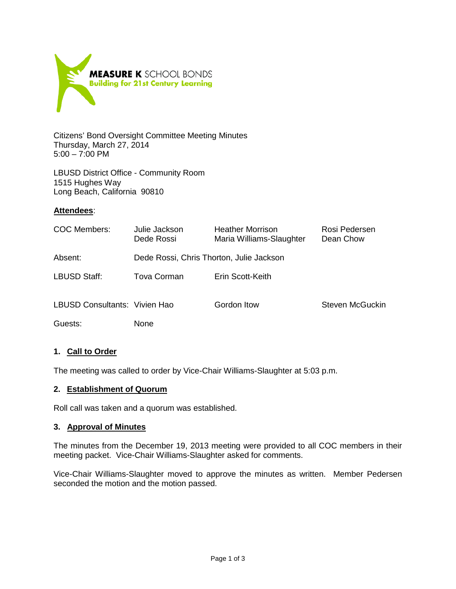

Citizens' Bond Oversight Committee Meeting Minutes Thursday, March 27, 2014 5:00 – 7:00 PM

LBUSD District Office - Community Room 1515 Hughes Way Long Beach, California 90810

## **Attendees**:

| COC Members:                  | Julie Jackson<br>Dede Rossi              | <b>Heather Morrison</b><br>Maria Williams-Slaughter | Rosi Pedersen<br>Dean Chow |
|-------------------------------|------------------------------------------|-----------------------------------------------------|----------------------------|
| Absent:                       | Dede Rossi, Chris Thorton, Julie Jackson |                                                     |                            |
| LBUSD Staff:                  | Tova Corman                              | Erin Scott-Keith                                    |                            |
| LBUSD Consultants: Vivien Hao |                                          | Gordon Itow                                         | Steven McGuckin            |
| Guests:                       | <b>None</b>                              |                                                     |                            |

#### **1. Call to Order**

The meeting was called to order by Vice-Chair Williams-Slaughter at 5:03 p.m.

#### **2. Establishment of Quorum**

Roll call was taken and a quorum was established.

#### **3. Approval of Minutes**

The minutes from the December 19, 2013 meeting were provided to all COC members in their meeting packet. Vice-Chair Williams-Slaughter asked for comments.

Vice-Chair Williams-Slaughter moved to approve the minutes as written. Member Pedersen seconded the motion and the motion passed.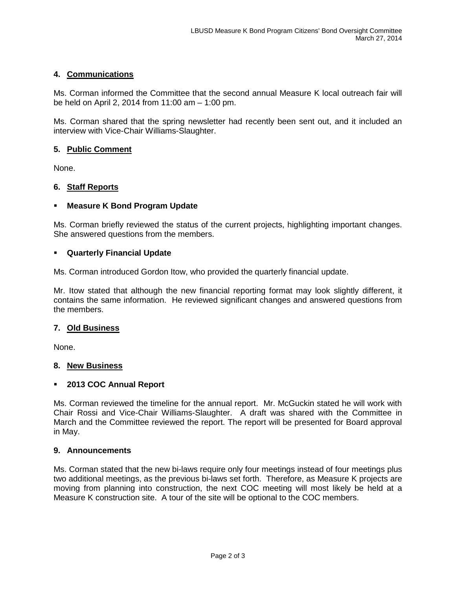## **4. Communications**

Ms. Corman informed the Committee that the second annual Measure K local outreach fair will be held on April 2, 2014 from 11:00 am – 1:00 pm.

Ms. Corman shared that the spring newsletter had recently been sent out, and it included an interview with Vice-Chair Williams-Slaughter.

## **5. Public Comment**

None.

## **6. Staff Reports**

## **Measure K Bond Program Update**

Ms. Corman briefly reviewed the status of the current projects, highlighting important changes. She answered questions from the members.

#### **Quarterly Financial Update**

Ms. Corman introduced Gordon Itow, who provided the quarterly financial update.

Mr. Itow stated that although the new financial reporting format may look slightly different, it contains the same information. He reviewed significant changes and answered questions from the members.

#### **7. Old Business**

None.

#### **8. New Business**

#### **2013 COC Annual Report**

Ms. Corman reviewed the timeline for the annual report. Mr. McGuckin stated he will work with Chair Rossi and Vice-Chair Williams-Slaughter. A draft was shared with the Committee in March and the Committee reviewed the report. The report will be presented for Board approval in May.

#### **9. Announcements**

Ms. Corman stated that the new bi-laws require only four meetings instead of four meetings plus two additional meetings, as the previous bi-laws set forth. Therefore, as Measure K projects are moving from planning into construction, the next COC meeting will most likely be held at a Measure K construction site. A tour of the site will be optional to the COC members.